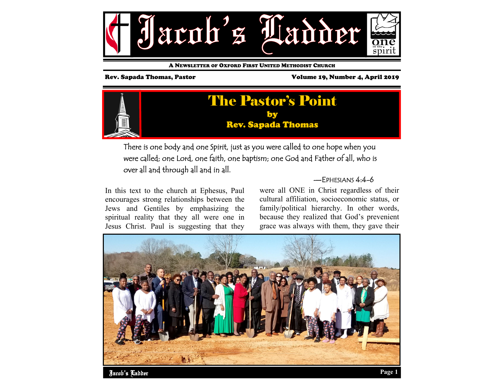

A NEWSLETTER OF OXFORD FIRST UNITED METHODIST CHURCH

Rev. Sapada Thomas, Pastor Volume 19, Number 4, April 2019



There is one body and one Spirit, just as you were called to one hope when you were called; one Lord, one faith, one baptism; one God and Father of all, who is over all and through all and in all.

In this text to the church at Ephesus, Paul encourages strong relationships between the Jews and Gentiles by emphasizing the spiritual reality that they all were one in Jesus Christ. Paul is suggesting that they

#### —EPHESIANS 4:4-6

were all ONE in Christ regardless of their cultural affiliation, socioeconomic status, or family/political hierarchy. In other words, because they realized that God's prevenient grace was always with them, they gave their

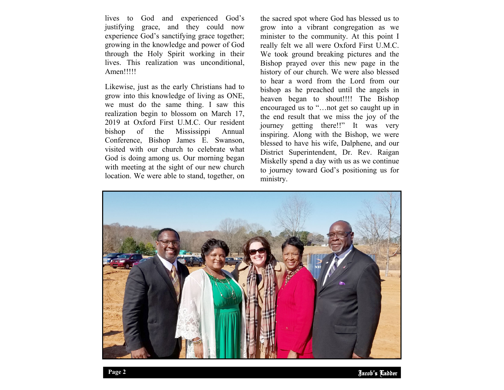lives to God and experienced God's justifying grace, and they could now experience God's sanctifying grace together; growing in the knowledge and power of God through the Holy Spirit working in their lives. This realization was unconditional, Amen!!!!!

Likewise, just as the early Christians had to grow into this knowledge of living as ONE, we must do the same thing. I saw this realization begin to blossom on March 17, 2019 at Oxford First U.M.C. Our resident bishop of the Mississippi Annual Conference, Bishop James E. Swanson, visited with our church to celebrate what God is doing among us. Our morning began with meeting at the sight of our new church location. We were able to stand, together, on

the sacred spot where God has blessed us to grow into a vibrant congregation as we minister to the community. At this point I really felt we all were Oxford First U.M.C. We took ground breaking pictures and the Bishop prayed over this new page in the history of our church. We were also blessed to hear a word from the Lord from our bishop as he preached until the angels in heaven began to shout!!!! The Bishop encouraged us to "…not get so caught up in the end result that we miss the joy of the journey getting there!!" It was very inspiring. Along with the Bishop, we were blessed to have his wife, Dalphene, and our District Superintendent, Dr. Rev. Raigan Miskelly spend a day with us as we continue to journey toward God's positioning us for ministry.

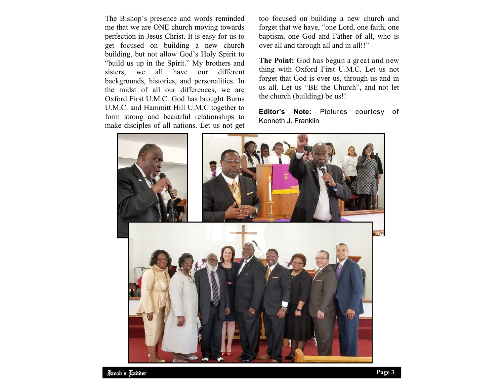The Bishop's presence and words reminded me that we are ONE church moving towards perfection in Jesus Christ. It is easy for us to get focused on building a new church building, but not allow God's Holy Spirit to "build us up in the Spirit." My brothers and sisters, we all have our different backgrounds, histories, and personalities. In the midst of all our differences, we are Oxford First U.M.C. God has brought Burns U.M.C. and Hammitt Hill U.M.C together to form strong and beautiful relationships to make disciples of all nations. Let us not get too focused on building a new church and forget that we have, "one Lord, one faith, one baptism, one God and Father of all, who is over all and through all and in all!!"

**The Point:** God has begun a great and new thing with Oxford First U.M.C. Let us not forget that God is over us, through us and in us all. Let us "BE the Church", and not let the church (building) be us!!

**Editor's Note:** Pictures courtesy of Kenneth J. Franklin